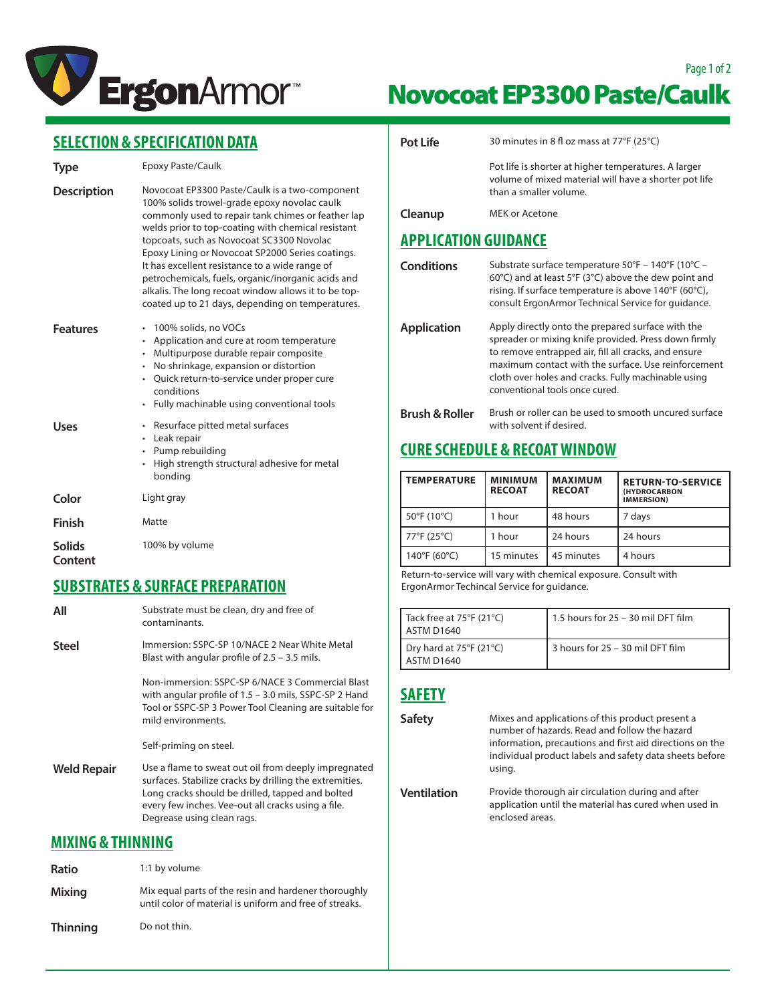

# Page 1 of 2 Novocoat EP3300 Paste/Caulk

|  |  |  | SELECTION & SPECIFICATION DATA |
|--|--|--|--------------------------------|
|  |  |  |                                |

| <b>Type</b>              | Epoxy Paste/Caulk                                                                                                                                                                                                                                                                                                                                                                                                                                                                                                               |  |
|--------------------------|---------------------------------------------------------------------------------------------------------------------------------------------------------------------------------------------------------------------------------------------------------------------------------------------------------------------------------------------------------------------------------------------------------------------------------------------------------------------------------------------------------------------------------|--|
| <b>Description</b>       | Novocoat EP3300 Paste/Caulk is a two-component<br>100% solids trowel-grade epoxy novolac caulk<br>commonly used to repair tank chimes or feather lap<br>welds prior to top-coating with chemical resistant<br>topcoats, such as Novocoat SC3300 Novolac<br>Epoxy Lining or Novocoat SP2000 Series coatings.<br>It has excellent resistance to a wide range of<br>petrochemicals, fuels, organic/inorganic acids and<br>alkalis. The long recoat window allows it to be top-<br>coated up to 21 days, depending on temperatures. |  |
| <b>Features</b>          | 100% solids, no VOCs<br>Application and cure at room temperature<br>٠<br>Multipurpose durable repair composite<br>$\bullet$<br>No shrinkage, expansion or distortion<br>• Quick return-to-service under proper cure<br>conditions<br>Fully machinable using conventional tools<br>$\bullet$                                                                                                                                                                                                                                     |  |
| Uses                     | • Resurface pitted metal surfaces<br>• Leak repair<br>• Pump rebuilding<br>High strength structural adhesive for metal<br>bonding                                                                                                                                                                                                                                                                                                                                                                                               |  |
| Color                    | Light gray                                                                                                                                                                                                                                                                                                                                                                                                                                                                                                                      |  |
| <b>Finish</b>            | Matte                                                                                                                                                                                                                                                                                                                                                                                                                                                                                                                           |  |
| <b>Solids</b><br>Content | 100% by volume                                                                                                                                                                                                                                                                                                                                                                                                                                                                                                                  |  |
|                          | FIINFTNATEF A FIINFAFF NNFNANATIAN                                                                                                                                                                                                                                                                                                                                                                                                                                                                                              |  |

#### **SUBSTRATES & SURFACE PREPARATION All** Substrate must be clean, dry and free of contaminants. Steel Immersion: SSPC-SP 10/NACE 2 Near White Metal Blast with angular profile of 2.5 – 3.5 mils. Non-immersion: SSPC-SP 6/NACE 3 Commercial Blast with angular profile of 1.5 – 3.0 mils, SSPC-SP 2 Hand Tool or SSPC-SP 3 Power Tool Cleaning are suitable for mild environments. Self-priming on steel. **Weld Repair** Use a flame to sweat out oil from deeply impregnated surfaces. Stabilize cracks by drilling the extremities. Long cracks should be drilled, tapped and bolted every few inches. Vee-out all cracks using a file. Degrease using clean rags. **MIXING & THINNING**

| Ratio           | 1:1 by volume                                                                                                   |
|-----------------|-----------------------------------------------------------------------------------------------------------------|
| <b>Mixing</b>   | Mix equal parts of the resin and hardener thoroughly<br>until color of material is uniform and free of streaks. |
| <b>Thinning</b> | Do not thin.                                                                                                    |

| <b>Pot Life</b>             | 30 minutes in 8 fl oz mass at 77°F (25°C)                                                                                                                                                                                                                                                                         |
|-----------------------------|-------------------------------------------------------------------------------------------------------------------------------------------------------------------------------------------------------------------------------------------------------------------------------------------------------------------|
|                             | Pot life is shorter at higher temperatures. A larger<br>volume of mixed material will have a shorter pot life<br>than a smaller volume.                                                                                                                                                                           |
| Cleanup                     | MEK or Acetone                                                                                                                                                                                                                                                                                                    |
| <b>APPLICATION GUIDANCE</b> |                                                                                                                                                                                                                                                                                                                   |
| <b>Conditions</b>           | Substrate surface temperature 50°F - 140°F (10°C -<br>60 $\degree$ C) and at least 5 $\degree$ F (3 $\degree$ C) above the dew point and<br>rising. If surface temperature is above $140^{\circ}F$ (60 $^{\circ}C$ ),<br>consult ErgonArmor Technical Service for guidance.                                       |
| <b>Application</b>          | Apply directly onto the prepared surface with the<br>spreader or mixing knife provided. Press down firmly<br>to remove entrapped air, fill all cracks, and ensure<br>maximum contact with the surface. Use reinforcement<br>cloth over holes and cracks. Fully machinable using<br>conventional tools once cured. |
| <b>Brush &amp; Roller</b>   | Brush or roller can be used to smooth uncured surface<br>with solvent if desired.                                                                                                                                                                                                                                 |

#### **CURE SCHEDULE & RECOAT WINDOW**

| <b>TEMPERATURE</b> | <b>MINIMUM</b><br><b>RECOAT</b> | <b>MAXIMUM</b><br><b>RECOAT</b> | <b>RETURN-TO-SERVICE</b><br><b>(HYDROCARBON</b><br><b>IMMERSION</b> ) |
|--------------------|---------------------------------|---------------------------------|-----------------------------------------------------------------------|
| 50°F (10°C)        | 1 hour                          | 48 hours                        | 7 days                                                                |
| 77°F (25°C)        | 1 hour                          | 24 hours                        | 24 hours                                                              |
| 140°F (60°C)       | 15 minutes                      | 45 minutes                      | 4 hours                                                               |

Return-to-service will vary with chemical exposure. Consult with ErgonArmor Techincal Service for guidance.

| Tack free at $75^{\circ}F(21^{\circ}C)$<br>LASTM D1640 | 1.5 hours for 25 - 30 mil DFT film |
|--------------------------------------------------------|------------------------------------|
| Dry hard at $75^{\circ}F(21^{\circ}C)$<br>LASTM D1640  | 3 hours for 25 - 30 mil DFT film   |

## **SAFETY**

| <b>Safety</b>      | Mixes and applications of this product present a<br>number of hazards. Read and follow the hazard<br>information, precautions and first aid directions on the<br>individual product labels and safety data sheets before<br>using. |
|--------------------|------------------------------------------------------------------------------------------------------------------------------------------------------------------------------------------------------------------------------------|
| <b>Ventilation</b> | Provide thorough air circulation during and after<br>application until the material has cured when used in<br>enclosed areas.                                                                                                      |